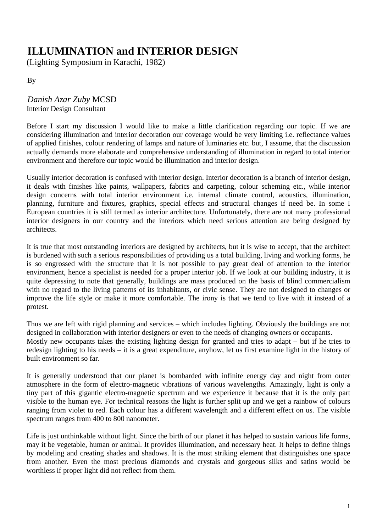## 0B**ILLUMINATION and INTERIOR DESIGN**

(Lighting Symposium in Karachi, 1982)

1By

2B*Danish Azar Zuby* MCSD Interior Design Consultant

Before I start my discussion I would like to make a little clarification regarding our topic. If we are considering illumination and interior decoration our coverage would be very limiting i.e. reflectance values of applied finishes, colour rendering of lamps and nature of luminaries etc. but, I assume, that the discussion actually demands more elaborate and comprehensive understanding of illumination in regard to total interior environment and therefore our topic would be illumination and interior design.

Usually interior decoration is confused with interior design. Interior decoration is a branch of interior design, it deals with finishes like paints, wallpapers, fabrics and carpeting, colour scheming etc., while interior design concerns with total interior environment i.e. internal climate control, acoustics, illumination, planning, furniture and fixtures, graphics, special effects and structural changes if need be. In some I European countries it is still termed as interior architecture. Unfortunately, there are not many professional interior designers in our country and the interiors which need serious attention are being designed by architects.

It is true that most outstanding interiors are designed by architects, but it is wise to accept, that the architect is burdened with such a serious responsibilities of providing us a total building, living and working forms, he is so engrossed with the structure that it is not possible to pay great deal of attention to the interior environment, hence a specialist is needed for a proper interior job. If we look at our building industry, it is quite depressing to note that generally, buildings are mass produced on the basis of blind commercialism with no regard to the living patterns of its inhabitants, or civic sense. They are not designed to changes or improve the life style or make it more comfortable. The irony is that we tend to live with it instead of a protest.

Thus we are left with rigid planning and services – which includes lighting. Obviously the buildings are not designed in collaboration with interior designers or even to the needs of changing owners or occupants. Mostly new occupants takes the existing lighting design for granted and tries to adapt – but if he tries to redesign lighting to his needs – it is a great expenditure, anyhow, let us first examine light in the history of built environment so far.

It is generally understood that our planet is bombarded with infinite energy day and night from outer atmosphere in the form of electro-magnetic vibrations of various wavelengths. Amazingly, light is only a tiny part of this gigantic electro-magnetic spectrum and we experience it because that it is the only part visible to the human eye. For technical reasons the light is further split up and we get a rainbow of colours ranging from violet to red. Each colour has a different wavelength and a different effect on us. The visible spectrum ranges from 400 to 800 nanometer.

Life is just unthinkable without light. Since the birth of our planet it has helped to sustain various life forms, may it be vegetable, human or animal. It provides illumination, and necessary heat. It helps to define things by modeling and creating shades and shadows. It is the most striking element that distinguishes one space from another. Even the most precious diamonds and crystals and gorgeous silks and satins would be worthless if proper light did not reflect from them.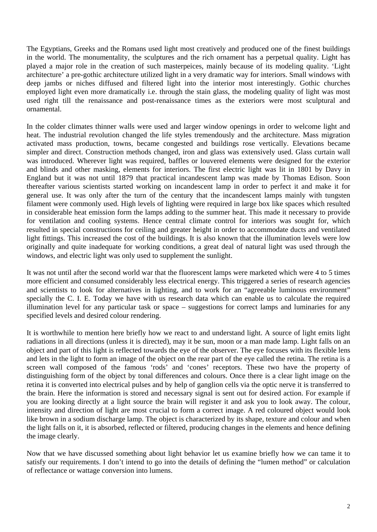The Egyptians, Greeks and the Romans used light most creatively and produced one of the finest buildings in the world. The monumentality, the sculptures and the rich ornament has a perpetual quality. Light has played a major role in the creation of such masterpeices, mainly because of its modeling quality. 'Light architecture' a pre-gothic architecture utilized light in a very dramatic way for interiors. Small windows with deep jambs or niches diffused and filtered light into the interior most interestingly. Gothic churches employed light even more dramatically i.e. through the stain glass, the modeling quality of light was most used right till the renaissance and post-renaissance times as the exteriors were most sculptural and ornamental.

In the colder climates thinner walls were used and larger window openings in order to welcome light and heat. The industrial revolution changed the life styles tremendously and the architecture. Mass migration activated mass production, towns, became congested and buildings rose vertically. Elevations became simpler and direct. Construction methods changed, iron and glass was extensively used. Glass curtain wall was introduced. Wherever light was required, baffles or louvered elements were designed for the exterior and blinds and other masking, elements for interiors. The first electric light was lit in 1801 by Davy in England but it was not until 1879 that practical incandescent lamp was made by Thomas Edison. Soon thereafter various scientists started working on incandescent lamp in order to perfect it and make it for general use. It was only after the turn of the century that the incandescent lamps mainly with tungsten filament were commonly used. High levels of lighting were required in large box like spaces which resulted in considerable heat emission form the lamps adding to the summer heat. This made it necessary to provide for ventilation and cooling systems. Hence central climate control for interiors was sought for, which resulted in special constructions for ceiling and greater height in order to accommodate ducts and ventilated light fittings. This increased the cost of the buildings. It is also known that the illumination levels were low originally and quite inadequate for working conditions, a great deal of natural light was used through the windows, and electric light was only used to supplement the sunlight.

It was not until after the second world war that the fluorescent lamps were marketed which were 4 to 5 times more efficient and consumed considerably less electrical energy. This triggered a series of research agencies and scientists to look for alternatives in lighting, and to work for an "agreeable luminous environment" specially the C. I. E. Today we have with us research data which can enable us to calculate the required illumination level for any particular task or space – suggestions for correct lamps and luminaries for any specified levels and desired colour rendering.

It is worthwhile to mention here briefly how we react to and understand light. A source of light emits light radiations in all directions (unless it is directed), may it be sun, moon or a man made lamp. Light falls on an object and part of this light is reflected towards the eye of the observer. The eye focuses with its flexible lens and lets in the light to form an image of the object on the rear part of the eye called the retina. The retina is a screen wall composed of the famous 'rods' and 'cones' receptors. These two have the property of distinguishing form of the object by tonal differences and colours. Once there is a clear light image on the retina it is converted into electrical pulses and by help of ganglion cells via the optic nerve it is transferred to the brain. Here the information is stored and necessary signal is sent out for desired action. For example if you are looking directly at a light source the brain will register it and ask you to look away. The colour, intensity and direction of light are most crucial to form a correct image. A red coloured object would look like brown in a sodium discharge lamp. The object is characterized by its shape, texture and colour and when the light falls on it, it is absorbed, reflected or filtered, producing changes in the elements and hence defining the image clearly.

Now that we have discussed something about light behavior let us examine briefly how we can tame it to satisfy our requirements. I don't intend to go into the details of defining the "lumen method" or calculation of reflectance or wattage conversion into lumens.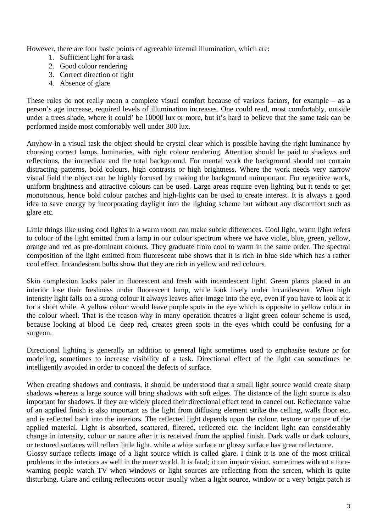However, there are four basic points of agreeable internal illumination, which are:

- 1. Sufficient light for a task
- 2. Good colour rendering
- 3. Correct direction of light
- 4. Absence of glare

These rules do not really mean a complete visual comfort because of various factors, for example – as a person's age increase, required levels of illumination increases. One could read, most comfortably, outside under a trees shade, where it could' be 10000 lux or more, but it's hard to believe that the same task can be performed inside most comfortably well under 300 lux.

Anyhow in a visual task the object should be crystal clear which is possible having the right luminance by choosing correct lamps, luminaries, with right colour rendering. Attention should be paid to shadows and reflections, the immediate and the total background. For mental work the background should not contain distracting patterns, bold colours, high contrasts or high brightness. Where the work needs very narrow visual field the object can be highly focused by making the background unimportant. For repetitive work, uniform brightness and attractive colours can be used. Large areas require even lighting but it tends to get monotonous, hence bold colour patches and high-lights can be used to create interest. It is always a good idea to save energy by incorporating daylight into the lighting scheme but without any discomfort such as glare etc.

Little things like using cool lights in a warm room can make subtle differences. Cool light, warm light refers to colour of the light emitted from a lamp in our colour spectrum where we have violet, blue, green, yellow, orange and red as pre-dominant colours. They graduate from cool to warm in the same order. The spectral composition of the light emitted from fluorescent tube shows that it is rich in blue side which has a rather cool effect. Incandescent bulbs show that they are rich in yellow and red colours.

Skin complexion looks paler in fluorescent and fresh with incandescent light. Green plants placed in an interior lose their freshness under fluorescent lamp, while look lively under incandescent. When high intensity light falls on a strong colour it always leaves after-image into the eye, even if you have to look at it for a short while. A yellow colour would leave purple spots in the eye which is opposite to yellow colour in the colour wheel. That is the reason why in many operation theatres a light green colour scheme is used, because looking at blood i.e. deep red, creates green spots in the eyes which could be confusing for a surgeon.

Directional lighting is generally an addition to general light sometimes used to emphasise texture or for modeling, sometimes to increase visibility of a task. Directional effect of the light can sometimes be intelligently avoided in order to conceal the defects of surface.

When creating shadows and contrasts, it should be understood that a small light source would create sharp shadows whereas a large source will bring shadows with soft edges. The distance of the light source is also important for shadows. If they are widely placed their directional effect tend to cancel out. Reflectance value of an applied finish is also important as the light from diffusing element strike the ceiling, walls floor etc. and is reflected back into the interiors. The reflected light depends upon the colour, texture or nature of the applied material. Light is absorbed, scattered, filtered, reflected etc. the incident light can considerably change in intensity, colour or nature after it is received from the applied finish. Dark walls or dark colours, or textured surfaces will reflect little light, while a white surface or glossy surface has great reflectance.

Glossy surface reflects image of a light source which is called glare. I think it is one of the most critical problems in the interiors as well in the outer world. It is fatal; it can impair vision, sometimes without a forewarning people watch TV when windows or light sources are reflecting from the screen, which is quite disturbing. Glare and ceiling reflections occur usually when a light source, window or a very bright patch is